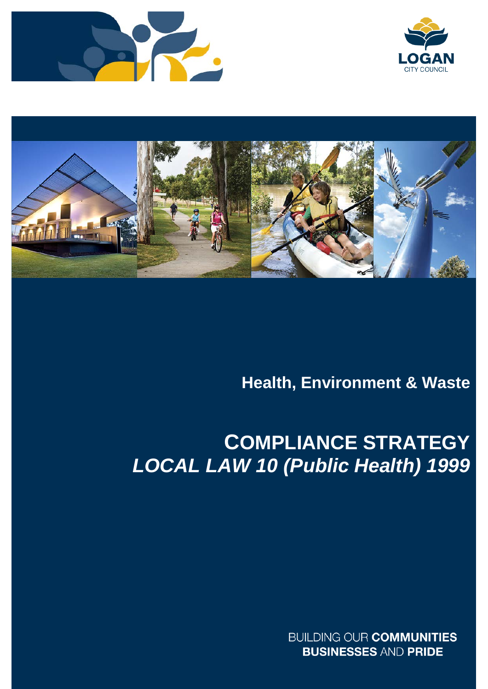





# **Health, Environment & Waste**

# **COMPLIANCE STRATEGY**  *LOCAL LAW 10 (Public Health) 1999*

**BUILDING OUR COMMUNITIES BUSINESSES AND PRIDE**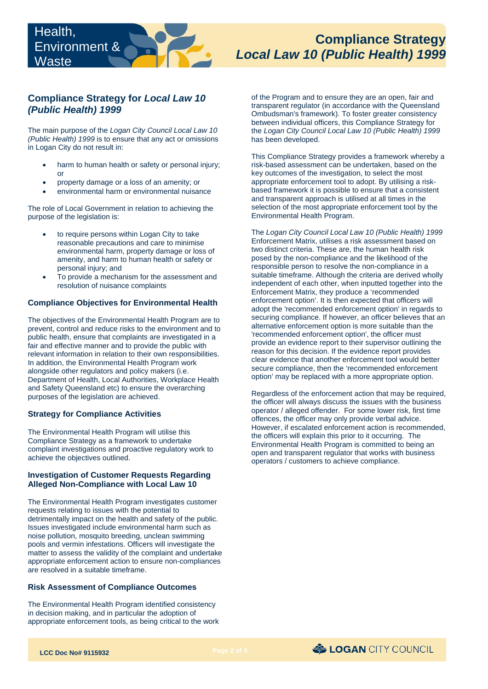# **Compliance Strategy**  *Local Law 10 (Public Health) 1999*

# **Compliance Strategy for** *Local Law 10 (Public Health) 1999*

 The main purpose of the *Logan City Council Local Law 10 (Public Health) 1999* is to ensure that any act or omissions in Logan City do not result in:

- harm to human health or safety or personal injury; or
- property damage or a loss of an amenity; or
- environmental harm or environmental nuisance

The role of Local Government in relation to achieving the purpose of the legislation is:

- environmental harm, property damage or loss of • to require persons within Logan City to take reasonable precautions and care to minimise amenity, and harm to human health or safety or personal injury; and
- To provide a mechanism for the assessment and resolution of nuisance complaints

#### **Compliance Objectives for Environmental Health**

 public health, ensure that complaints are investigated in a The objectives of the Environmental Health Program are to prevent, control and reduce risks to the environment and to fair and effective manner and to provide the public with relevant information in relation to their own responsibilities. In addition, the Environmental Health Program work alongside other regulators and policy makers (i.e. Department of Health, Local Authorities, Workplace Health and Safety Queensland etc) to ensure the overarching purposes of the legislation are achieved.

## **Strategy for Compliance Activities**

 The Environmental Health Program will utilise this Compliance Strategy as a framework to undertake complaint investigations and proactive regulatory work to achieve the objectives outlined.

#### **Investigation of Customer Requests Regarding Alleged Non-Compliance with Local Law 10**

 The Environmental Health Program investigates customer Issues investigated include environmental harm such as requests relating to issues with the potential to detrimentally impact on the health and safety of the public. noise pollution, mosquito breeding, unclean swimming pools and vermin infestations. Officers will investigate the matter to assess the validity of the complaint and undertake appropriate enforcement action to ensure non-compliances are resolved in a suitable timeframe.

#### **Risk Assessment of Compliance Outcomes**

 appropriate enforcement tools, as being critical to the work The Environmental Health Program identified consistency in decision making, and in particular the adoption of

 the *Logan City Council Local Law 10 (Public Health) 1999*  has been developed. of the Program and to ensure they are an open, fair and transparent regulator (in accordance with the Queensland Ombudsman's framework). To foster greater consistency between individual officers, this Compliance Strategy for

This Compliance Strategy provides a framework whereby a risk-based assessment can be undertaken, based on the key outcomes of the investigation, to select the most appropriate enforcement tool to adopt. By utilising a riskbased framework it is possible to ensure that a consistent and transparent approach is utilised at all times in the selection of the most appropriate enforcement tool by the Environmental Health Program.

 alternative enforcement option is more suitable than the provide an evidence report to their supervisor outlining the The *Logan City Council Local Law 10 (Public Health) 1999*  Enforcement Matrix, utilises a risk assessment based on two distinct criteria. These are, the human health risk posed by the non-compliance and the likelihood of the responsible person to resolve the non-compliance in a suitable timeframe. Although the criteria are derived wholly independent of each other, when inputted together into the Enforcement Matrix, they produce a 'recommended enforcement option'. It is then expected that officers will adopt the 'recommended enforcement option' in regards to securing compliance. If however, an officer believes that an 'recommended enforcement option', the officer must reason for this decision. If the evidence report provides clear evidence that another enforcement tool would better secure compliance, then the 'recommended enforcement option' may be replaced with a more appropriate option.

Regardless of the enforcement action that may be required, the officer will always discuss the issues with the business operator / alleged offender. For some lower risk, first time offences, the officer may only provide verbal advice. However, if escalated enforcement action is recommended, the officers will explain this prior to it occurring. The Environmental Health Program is committed to being an open and transparent regulator that works with business operators / customers to achieve compliance.

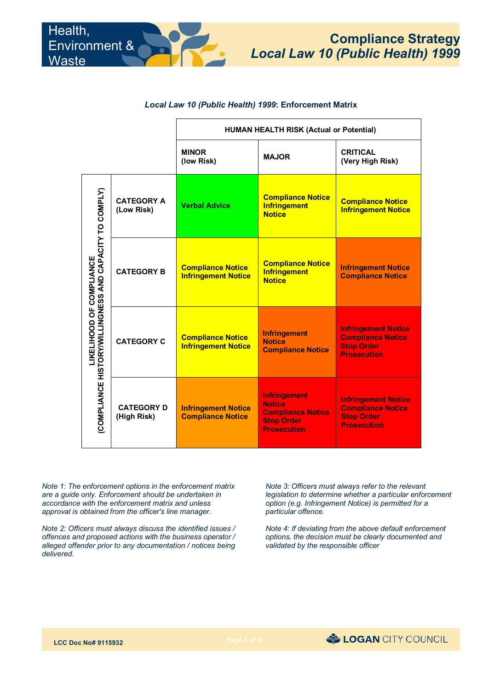### *Local Law 10 (Public Health) 1999***: Enforcement Matrix**

|                                                                                     |                                  | <b>HUMAN HEALTH RISK (Actual or Potential)</b>         |                                                                                                             |                                                                                                   |
|-------------------------------------------------------------------------------------|----------------------------------|--------------------------------------------------------|-------------------------------------------------------------------------------------------------------------|---------------------------------------------------------------------------------------------------|
|                                                                                     |                                  | <b>MINOR</b><br>(low Risk)                             | <b>MAJOR</b>                                                                                                | <b>CRITICAL</b><br>(Very High Risk)                                                               |
| (COMPLIANCE HISTORY/WILLINGNESS AND CAPACITY TO COMPLY)<br>LIKELIHOOD OF COMPLIANCE | <b>CATEGORY A</b><br>(Low Risk)  | <b>Verbal Advice</b>                                   | <b>Compliance Notice</b><br><b>Infringement</b><br><b>Notice</b>                                            | <b>Compliance Notice</b><br><b>Infringement Notice</b>                                            |
|                                                                                     | <b>CATEGORY B</b>                | <b>Compliance Notice</b><br><b>Infringement Notice</b> | <b>Compliance Notice</b><br><b>Infringement</b><br><b>Notice</b>                                            | <b>Infringement Notice</b><br><b>Compliance Notice</b>                                            |
|                                                                                     | <b>CATEGORY C</b>                | <b>Compliance Notice</b><br><b>Infringement Notice</b> | <b>Infringement</b><br><b>Notice</b><br><b>Compliance Notice</b>                                            | <b>Infringement Notice</b><br><b>Compliance Notice</b><br><b>Stop Order</b><br><b>Prosecution</b> |
|                                                                                     | <b>CATEGORY D</b><br>(High Risk) | <b>Infringement Notice</b><br><b>Compliance Notice</b> | <b>Infringement</b><br><b>Notice</b><br><b>Compliance Notice</b><br><b>Stop Order</b><br><b>Prosecution</b> | <b>Infringement Notice</b><br><b>Compliance Notice</b><br><b>Stop Order</b><br><b>Prosecution</b> |

 *Note 1: The enforcement options in the enforcement matrix are a guide only. Enforcement should be undertaken in accordance with the enforcement matrix and unless approval is obtained from the officer's line manager.* 

 *offences and proposed actions with the business operator / Note 2: Officers must always discuss the identified issues / alleged offender prior to any documentation / notices being delivered.* 

 *Note 3: Officers must always refer to the relevant legislation to determine whether a particular enforcement option (e.g. Infringement Notice) is permitted for a particular offence.* 

 *Note 4: If deviating from the above default enforcement options, the decision must be clearly documented and validated by the responsible officer*